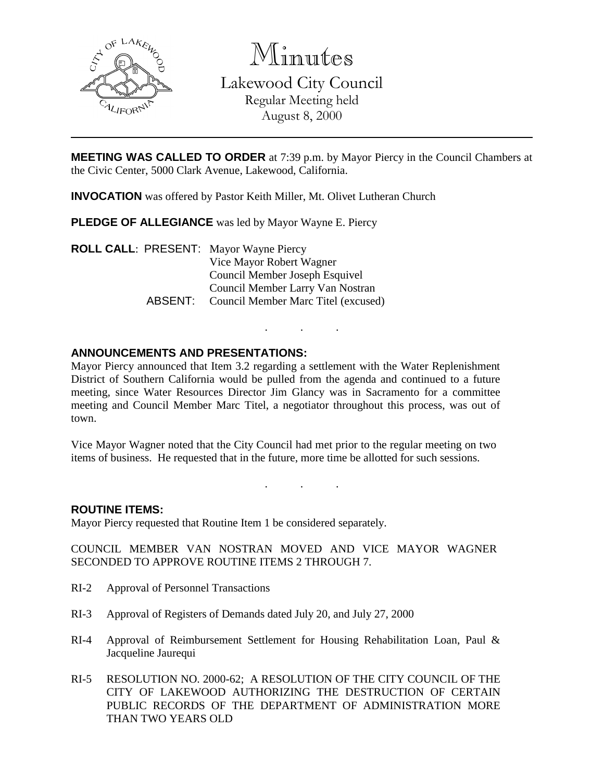

Minutes

Lakewood City Council Regular Meeting held August 8, 2000

**MEETING WAS CALLED TO ORDER** at 7:39 p.m. by Mayor Piercy in the Council Chambers at the Civic Center, 5000 Clark Avenue, Lakewood, California.

**INVOCATION** was offered by Pastor Keith Miller, Mt. Olivet Lutheran Church

**PLEDGE OF ALLEGIANCE** was led by Mayor Wayne E. Piercy

**ROLL CALL**: PRESENT: Mayor Wayne Piercy Vice Mayor Robert Wagner Council Member Joseph Esquivel Council Member Larry Van Nostran ABSENT: Council Member Marc Titel (excused)

# **ANNOUNCEMENTS AND PRESENTATIONS:**

Mayor Piercy announced that Item 3.2 regarding a settlement with the Water Replenishment District of Southern California would be pulled from the agenda and continued to a future meeting, since Water Resources Director Jim Glancy was in Sacramento for a committee meeting and Council Member Marc Titel, a negotiator throughout this process, was out of town.

. . .

Vice Mayor Wagner noted that the City Council had met prior to the regular meeting on two items of business. He requested that in the future, more time be allotted for such sessions.

. . .

### **ROUTINE ITEMS:**

Mayor Piercy requested that Routine Item 1 be considered separately.

COUNCIL MEMBER VAN NOSTRAN MOVED AND VICE MAYOR WAGNER SECONDED TO APPROVE ROUTINE ITEMS 2 THROUGH 7.

- RI-2 Approval of Personnel Transactions
- RI-3 Approval of Registers of Demands dated July 20, and July 27, 2000
- RI-4 Approval of Reimbursement Settlement for Housing Rehabilitation Loan, Paul & Jacqueline Jaurequi
- RI-5 RESOLUTION NO. 2000-62; A RESOLUTION OF THE CITY COUNCIL OF THE CITY OF LAKEWOOD AUTHORIZING THE DESTRUCTION OF CERTAIN PUBLIC RECORDS OF THE DEPARTMENT OF ADMINISTRATION MORE THAN TWO YEARS OLD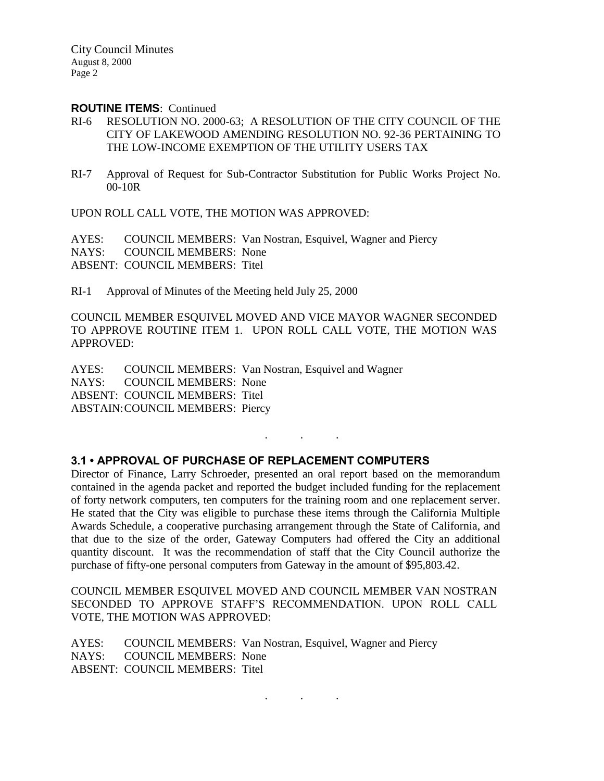City Council Minutes August 8, 2000 Page 2

#### **ROUTINE ITEMS**: Continued

- RI-6 RESOLUTION NO. 2000-63; A RESOLUTION OF THE CITY COUNCIL OF THE CITY OF LAKEWOOD AMENDING RESOLUTION NO. 92-36 PERTAINING TO THE LOW-INCOME EXEMPTION OF THE UTILITY USERS TAX
- RI-7 Approval of Request for Sub-Contractor Substitution for Public Works Project No. 00-10R

UPON ROLL CALL VOTE, THE MOTION WAS APPROVED:

AYES: COUNCIL MEMBERS: Van Nostran, Esquivel, Wagner and Piercy NAYS: COUNCIL MEMBERS: None ABSENT: COUNCIL MEMBERS: Titel

RI-1 Approval of Minutes of the Meeting held July 25, 2000

COUNCIL MEMBER ESQUIVEL MOVED AND VICE MAYOR WAGNER SECONDED TO APPROVE ROUTINE ITEM 1. UPON ROLL CALL VOTE, THE MOTION WAS APPROVED:

AYES: COUNCIL MEMBERS: Van Nostran, Esquivel and Wagner NAYS: COUNCIL MEMBERS: None ABSENT: COUNCIL MEMBERS: Titel ABSTAIN:COUNCIL MEMBERS: Piercy

### **3.1 • APPROVAL OF PURCHASE OF REPLACEMENT COMPUTERS**

Director of Finance, Larry Schroeder, presented an oral report based on the memorandum contained in the agenda packet and reported the budget included funding for the replacement of forty network computers, ten computers for the training room and one replacement server. He stated that the City was eligible to purchase these items through the California Multiple Awards Schedule, a cooperative purchasing arrangement through the State of California, and that due to the size of the order, Gateway Computers had offered the City an additional quantity discount. It was the recommendation of staff that the City Council authorize the purchase of fifty-one personal computers from Gateway in the amount of \$95,803.42.

 $\mathbf{r}$ 

COUNCIL MEMBER ESQUIVEL MOVED AND COUNCIL MEMBER VAN NOSTRAN SECONDED TO APPROVE STAFF'S RECOMMENDATION. UPON ROLL CALL VOTE, THE MOTION WAS APPROVED:

. . .

AYES: COUNCIL MEMBERS: Van Nostran, Esquivel, Wagner and Piercy NAYS: COUNCIL MEMBERS: None ABSENT: COUNCIL MEMBERS: Titel